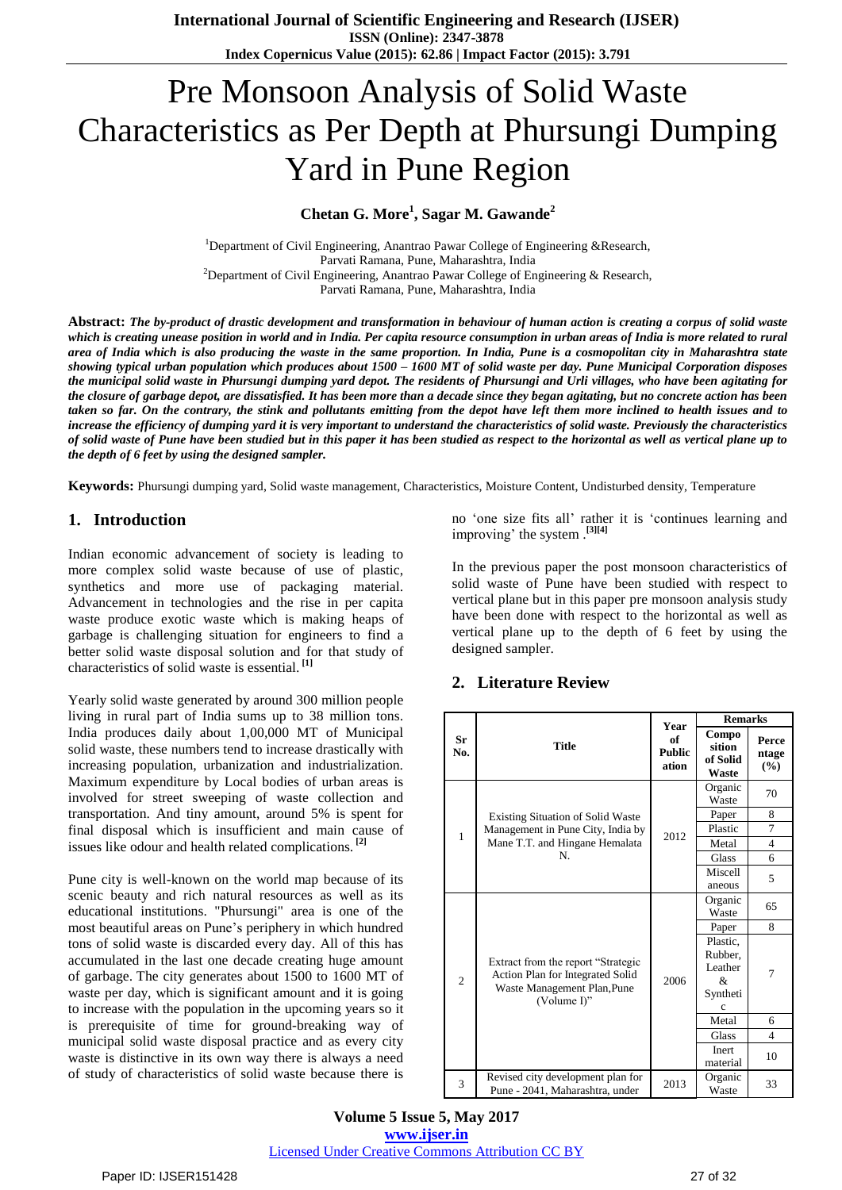# Pre Monsoon Analysis of Solid Waste Characteristics as Per Depth at Phursungi Dumping Yard in Pune Region

**Chetan G. More<sup>1</sup> , Sagar M. Gawande<sup>2</sup>**

<sup>1</sup>Department of Civil Engineering, Anantrao Pawar College of Engineering &Research, Parvati Ramana, Pune, Maharashtra, India <sup>2</sup>Department of Civil Engineering, Anantrao Pawar College of Engineering & Research, Parvati Ramana, Pune, Maharashtra, India

Abstract: The by-product of drastic development and transformation in behaviour of human action is creating a corpus of solid waste which is creating unease position in world and in India. Per capita resource consumption in urban areas of India is more related to rural area of India which is also producing the waste in the same proportion. In India, Pune is a cosmopolitan city in Maharashtra state showing typical urban population which produces about  $1500 - 1600$  MT of solid waste per day. Pune Municipal Corporation disposes the municipal solid waste in Phursungi dumping yard depot. The residents of Phursungi and Urli villages, who have been agitating for the closure of garbage depot, are dissatisfied. It has been more than a decade since they began agitating, but no concrete action has been taken so far. On the contrary, the stink and pollutants emitting from the depot have left them more inclined to health issues and to increase the efficiency of dumping yard it is very important to understand the characteristics of solid waste. Previously the characteristics of solid waste of Pune have been studied but in this paper it has been studied as respect to the horizontal as well as vertical plane up to *the depth of 6 feet by using the designed sampler.*

**Keywords:** Phursungi dumping yard, Solid waste management, Characteristics, Moisture Content, Undisturbed density, Temperature

### **1. Introduction**

Indian economic advancement of society is leading to more complex solid waste because of use of plastic, synthetics and more use of packaging material. Advancement in technologies and the rise in per capita waste produce exotic waste which is making heaps of garbage is challenging situation for engineers to find a better solid waste disposal solution and for that study of characteristics of solid waste is essential. **[1]**

Yearly solid waste generated by around 300 million people living in rural part of India sums up to 38 million tons. India produces daily about 1,00,000 MT of Municipal solid waste, these numbers tend to increase drastically with increasing population, urbanization and industrialization. Maximum expenditure by Local bodies of urban areas is involved for street sweeping of waste collection and transportation. And tiny amount, around 5% is spent for final disposal which is insufficient and main cause of issues like odour and health related complications. **[2]**

Pune city is well-known on the world map because of its scenic beauty and rich natural resources as well as its educational institutions. "Phursungi" area is one of the most beautiful areas on Pune"s periphery in which hundred tons of solid waste is discarded every day. All of this has accumulated in the last one decade creating huge amount of garbage. The city generates about 1500 to 1600 MT of waste per day, which is significant amount and it is going to increase with the population in the upcoming years so it is prerequisite of time for ground-breaking way of municipal solid waste disposal practice and as every city waste is distinctive in its own way there is always a need of study of characteristics of solid waste because there is

no "one size fits all" rather it is "continues learning and improving' the system .<sup>[3][4]</sup>

In the previous paper the post monsoon characteristics of solid waste of Pune have been studied with respect to vertical plane but in this paper pre monsoon analysis study have been done with respect to the horizontal as well as vertical plane up to the depth of 6 feet by using the designed sampler.

| Sr<br>No.      | <b>Title</b>                                                                                                          | <b>Year</b><br>of<br><b>Public</b><br>ation | <b>Remarks</b>                                       |                       |
|----------------|-----------------------------------------------------------------------------------------------------------------------|---------------------------------------------|------------------------------------------------------|-----------------------|
|                |                                                                                                                       |                                             | Compo<br>sition<br>of Solid<br>Waste                 | Perce<br>ntage<br>(%) |
| 1              | <b>Existing Situation of Solid Waste</b><br>Management in Pune City, India by<br>Mane T.T. and Hingane Hemalata<br>N. | 2012                                        | Organic<br>Waste                                     | 70                    |
|                |                                                                                                                       |                                             | Paper                                                | 8                     |
|                |                                                                                                                       |                                             | Plastic                                              | $\overline{7}$        |
|                |                                                                                                                       |                                             | Metal                                                | $\overline{4}$        |
|                |                                                                                                                       |                                             | Glass                                                | 6                     |
|                |                                                                                                                       |                                             | Miscell<br>aneous                                    | 5                     |
| $\overline{2}$ | Extract from the report "Strategic<br>Action Plan for Integrated Solid<br>Waste Management Plan, Pune<br>(Volume I)"  | 2006                                        | Organic<br>Waste                                     | 65                    |
|                |                                                                                                                       |                                             | Paper                                                | 8                     |
|                |                                                                                                                       |                                             | Plastic,<br>Rubber,<br>Leather<br>&<br>Syntheti<br>c | 7                     |
|                |                                                                                                                       |                                             | Metal                                                | 6                     |
|                |                                                                                                                       |                                             | <b>Glass</b>                                         | $\overline{4}$        |
|                |                                                                                                                       |                                             | Inert<br>material                                    | 10                    |
| 3              | Revised city development plan for<br>Pune - 2041, Maharashtra, under                                                  | 2013                                        | Organic<br>Waste                                     | 33                    |

#### **2. Literature Review**

**Volume 5 Issue 5, May 2017 www.ijser.in**

Licensed Under Creative Commons Attribution CC BY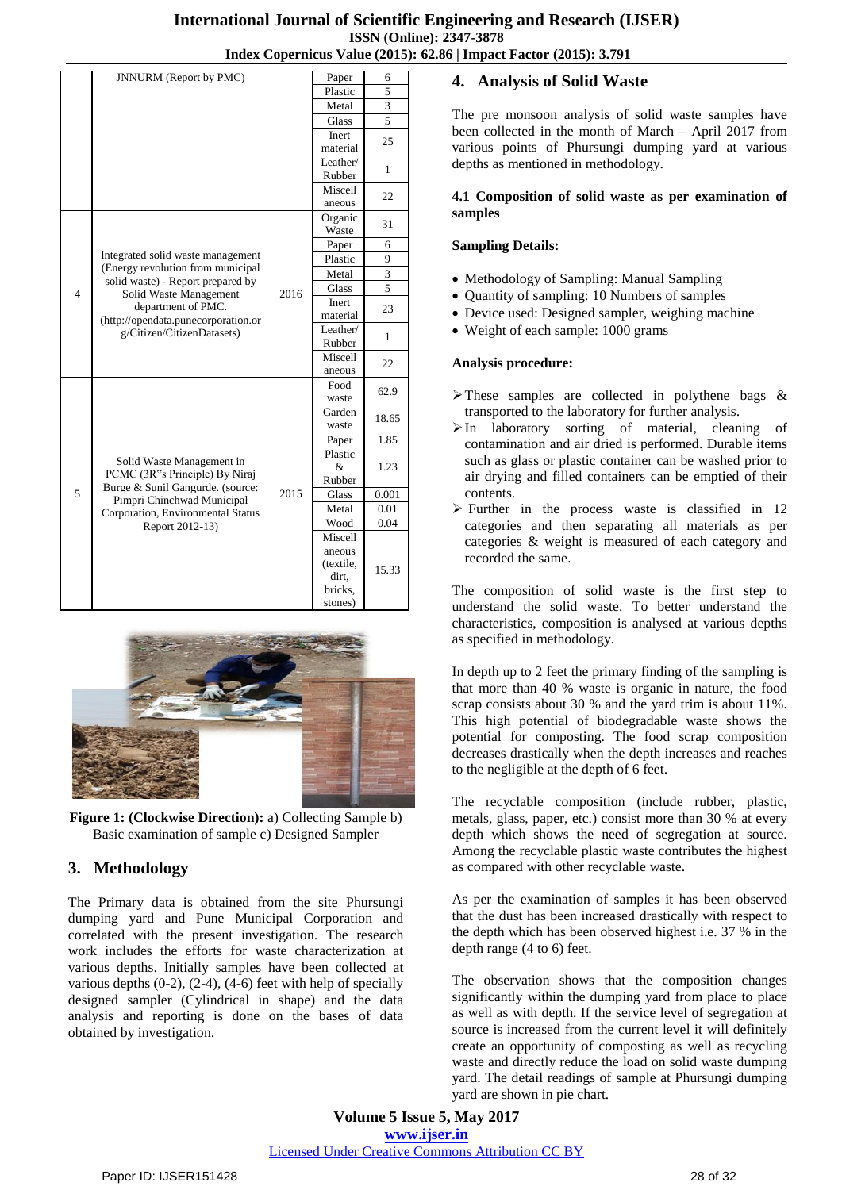|                | JNNURM (Report by PMC)                                                                                                                                                                                                           |      | Paper                                                         | 6     |
|----------------|----------------------------------------------------------------------------------------------------------------------------------------------------------------------------------------------------------------------------------|------|---------------------------------------------------------------|-------|
|                |                                                                                                                                                                                                                                  |      | Plastic                                                       | 5     |
|                |                                                                                                                                                                                                                                  |      | Metal                                                         | 3     |
|                |                                                                                                                                                                                                                                  |      | Glass                                                         | 5     |
|                |                                                                                                                                                                                                                                  |      | <b>Inert</b><br>material                                      | 25    |
|                |                                                                                                                                                                                                                                  |      | Leather/<br>Rubber                                            | 1     |
|                |                                                                                                                                                                                                                                  |      | Miscell<br>aneous                                             | 22    |
|                | Integrated solid waste management<br>(Energy revolution from municipal<br>solid waste) - Report prepared by<br>Solid Waste Management<br>department of PMC.<br>(http://opendata.punecorporation.or<br>g/Citizen/CitizenDatasets) | 2016 | Organic<br>Waste                                              | 31    |
|                |                                                                                                                                                                                                                                  |      | Paper                                                         | 6     |
| $\overline{4}$ |                                                                                                                                                                                                                                  |      | Plastic                                                       | 9     |
|                |                                                                                                                                                                                                                                  |      | Metal                                                         | 3     |
|                |                                                                                                                                                                                                                                  |      | <b>Glass</b>                                                  | 5     |
|                |                                                                                                                                                                                                                                  |      | <b>Inert</b><br>material                                      | 23    |
|                |                                                                                                                                                                                                                                  |      | Leather/<br>Rubber                                            | 1     |
|                |                                                                                                                                                                                                                                  |      | Miscell<br>aneous                                             | 22    |
| 5              | Solid Waste Management in<br>PCMC (3R"s Principle) By Niraj<br>Burge & Sunil Gangurde. (source:<br>Pimpri Chinchwad Municipal<br>Corporation, Environmental Status<br>Report 2012-13)                                            | 2015 | Food<br>waste                                                 | 62.9  |
|                |                                                                                                                                                                                                                                  |      | Garden<br>waste                                               | 18.65 |
|                |                                                                                                                                                                                                                                  |      | Paper                                                         | 1.85  |
|                |                                                                                                                                                                                                                                  |      | Plastic<br>&<br>Rubber                                        | 1.23  |
|                |                                                                                                                                                                                                                                  |      | Glass                                                         | 0.001 |
|                |                                                                                                                                                                                                                                  |      | Metal                                                         | 0.01  |
|                |                                                                                                                                                                                                                                  |      | Wood                                                          | 0.04  |
|                |                                                                                                                                                                                                                                  |      | Miscell<br>aneous<br>(textile,<br>dirt.<br>bricks.<br>stones) | 15.33 |



**Figure 1: (Clockwise Direction):** a) Collecting Sample b) Basic examination of sample c) Designed Sampler

# **3. Methodology**

The Primary data is obtained from the site Phursungi dumping yard and Pune Municipal Corporation and correlated with the present investigation. The research work includes the efforts for waste characterization at various depths. Initially samples have been collected at various depths  $(0-2)$ ,  $(2-4)$ ,  $(4-6)$  feet with help of specially designed sampler (Cylindrical in shape) and the data analysis and reporting is done on the bases of data obtained by investigation.

# **4. Analysis of Solid Waste**

The pre monsoon analysis of solid waste samples have been collected in the month of March – April 2017 from various points of Phursungi dumping yard at various depths as mentioned in methodology.

#### **4.1 Composition of solid waste as per examination of samples**

#### **Sampling Details:**

- Methodology of Sampling: Manual Sampling
- Quantity of sampling: 10 Numbers of samples
- Device used: Designed sampler, weighing machine
- Weight of each sample: 1000 grams

#### **Analysis procedure:**

- $\triangleright$  These samples are collected in polythene bags & transported to the laboratory for further analysis.
- In laboratory sorting of material, cleaning of contamination and air dried is performed. Durable items such as glass or plastic container can be washed prior to air drying and filled containers can be emptied of their contents.
- $\triangleright$  Further in the process waste is classified in 12 categories and then separating all materials as per categories & weight is measured of each category and recorded the same.

The composition of solid waste is the first step to understand the solid waste. To better understand the characteristics, composition is analysed at various depths as specified in methodology.

In depth up to 2 feet the primary finding of the sampling is that more than 40 % waste is organic in nature, the food scrap consists about 30 % and the yard trim is about 11%. This high potential of biodegradable waste shows the potential for composting. The food scrap composition decreases drastically when the depth increases and reaches to the negligible at the depth of 6 feet.

The recyclable composition (include rubber, plastic, metals, glass, paper, etc.) consist more than 30 % at every depth which shows the need of segregation at source. Among the recyclable plastic waste contributes the highest as compared with other recyclable waste.

As per the examination of samples it has been observed that the dust has been increased drastically with respect to the depth which has been observed highest i.e. 37 % in the depth range (4 to 6) feet.

The observation shows that the composition changes significantly within the dumping yard from place to place as well as with depth. If the service level of segregation at source is increased from the current level it will definitely create an opportunity of composting as well as recycling waste and directly reduce the load on solid waste dumping yard. The detail readings of sample at Phursungi dumping yard are shown in pie chart.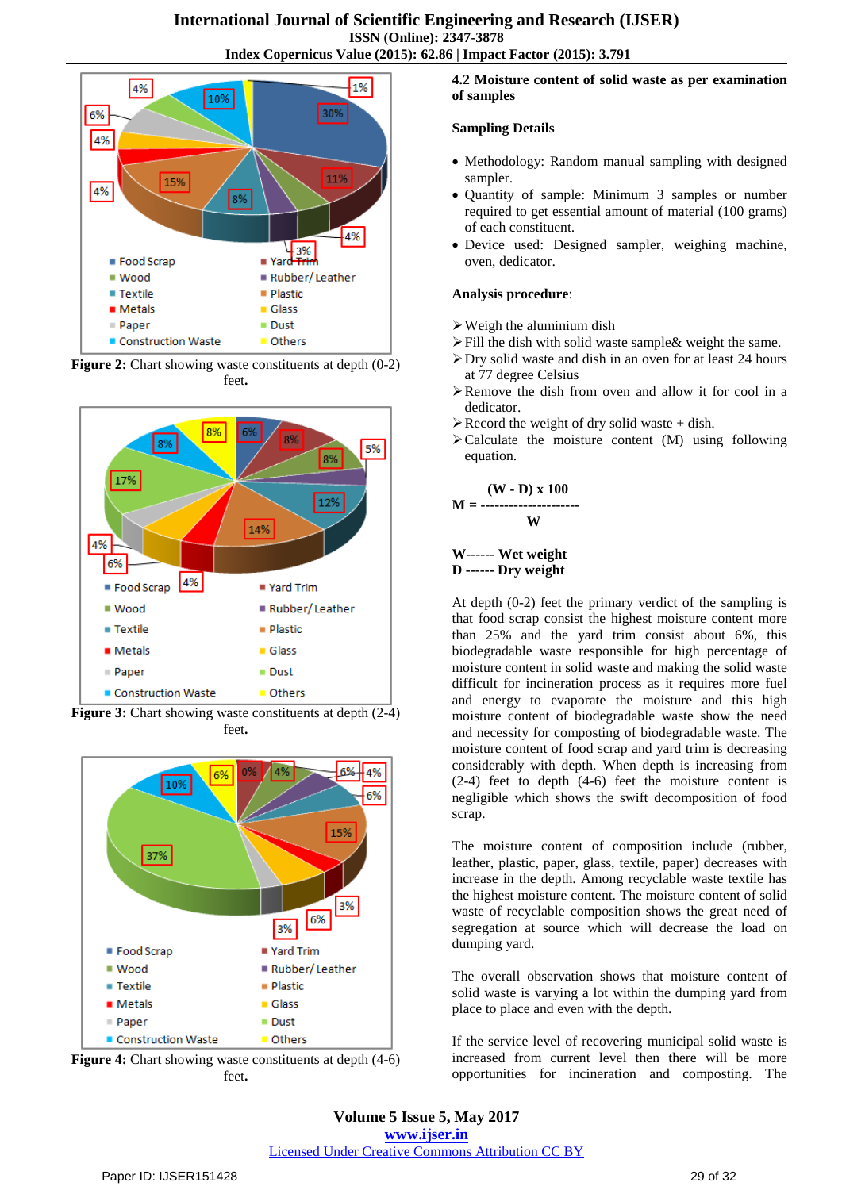

**Figure 2:** Chart showing waste constituents at depth  $(0-2)$ feet**.**



**Figure 3:** Chart showing waste constituents at depth  $(2-4)$ feet**.**



**Figure 4:** Chart showing waste constituents at depth  $(4-6)$ feet**.**

#### **4.2 Moisture content of solid waste as per examination of samples**

#### **Sampling Details**

- Methodology: Random manual sampling with designed sampler.
- Quantity of sample: Minimum 3 samples or number required to get essential amount of material (100 grams) of each constituent.
- Device used: Designed sampler, weighing machine, oven, dedicator.

#### **Analysis procedure**:

- $\triangleright$  Weigh the aluminium dish
- Fill the dish with solid waste sample& weight the same.
- Dry solid waste and dish in an oven for at least 24 hours at 77 degree Celsius
- Remove the dish from oven and allow it for cool in a dedicator.
- $\triangleright$  Record the weight of dry solid waste + dish.
- $\blacktriangleright$  Calculate the moisture content (M) using following equation.



#### **W------ Wet weight D ------ Dry weight**

At depth (0-2) feet the primary verdict of the sampling is that food scrap consist the highest moisture content more than 25% and the yard trim consist about 6%, this biodegradable waste responsible for high percentage of moisture content in solid waste and making the solid waste difficult for incineration process as it requires more fuel and energy to evaporate the moisture and this high moisture content of biodegradable waste show the need and necessity for composting of biodegradable waste. The moisture content of food scrap and yard trim is decreasing considerably with depth. When depth is increasing from (2-4) feet to depth (4-6) feet the moisture content is negligible which shows the swift decomposition of food scrap.

The moisture content of composition include (rubber, leather, plastic, paper, glass, textile, paper) decreases with increase in the depth. Among recyclable waste textile has the highest moisture content. The moisture content of solid waste of recyclable composition shows the great need of segregation at source which will decrease the load on dumping yard.

The overall observation shows that moisture content of solid waste is varying a lot within the dumping yard from place to place and even with the depth.

If the service level of recovering municipal solid waste is increased from current level then there will be more opportunities for incineration and composting. The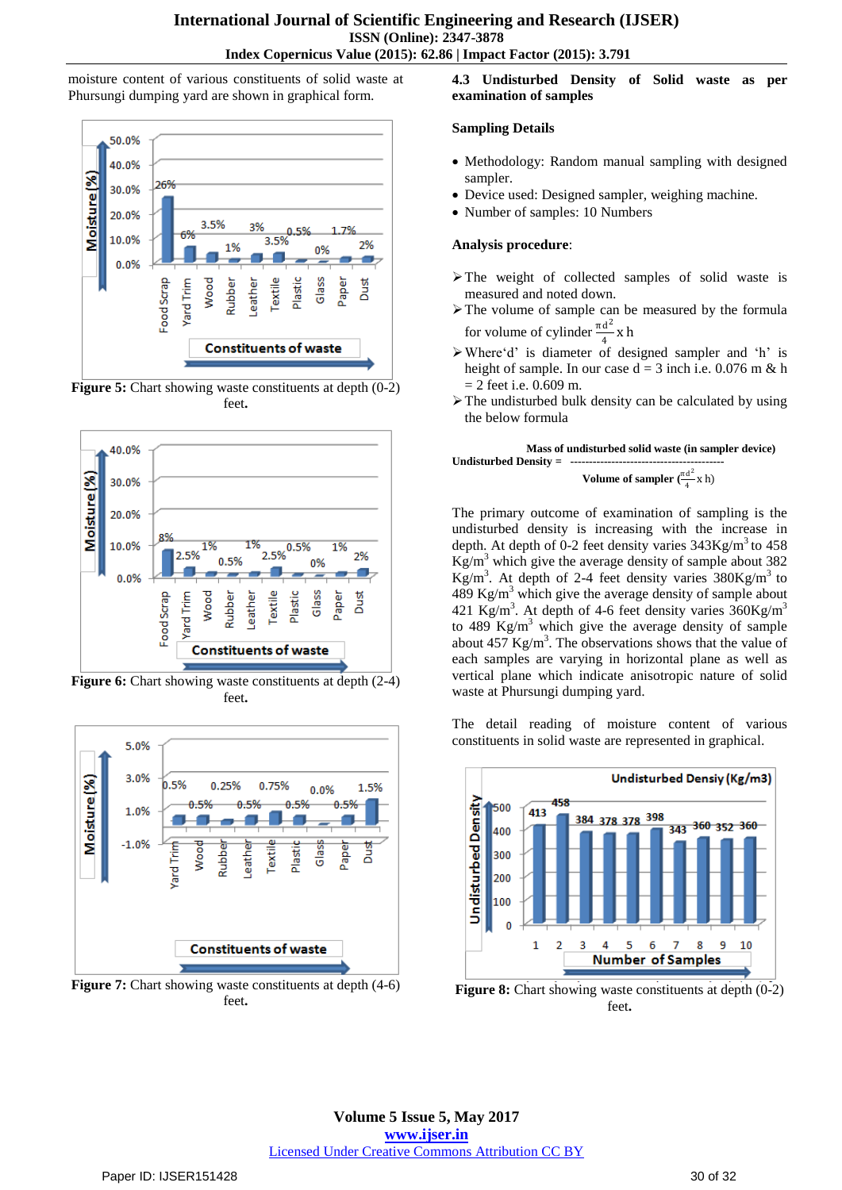moisture content of various constituents of solid waste at Phursungi dumping yard are shown in graphical form.



**Figure 5:** Chart showing waste constituents at depth  $(0-2)$ feet**.**



**Figure 6:** Chart showing waste constituents at depth  $(2-4)$ feet**.**



**Figure 7:** Chart showing waste constituents at depth  $(4-6)$ feet**.**

**4.3 Undisturbed Density of Solid waste as per examination of samples**

#### **Sampling Details**

- Methodology: Random manual sampling with designed sampler.
- Device used: Designed sampler, weighing machine.
- Number of samples: 10 Numbers

#### **Analysis procedure**:

- $\triangleright$  The weight of collected samples of solid waste is measured and noted down.
- $\triangleright$  The volume of sample can be measured by the formula for volume of cylinder  $\frac{\pi d^2}{4}$  $\frac{a}{4}$  x h
- Where"d" is diameter of designed sampler and "h" is height of sample. In our case  $d = 3$  inch i.e. 0.076 m & h  $= 2$  feet i.e. 0.609 m.
- $\triangleright$  The undisturbed bulk density can be calculated by using the below formula

 **Mass of undisturbed solid waste (in sampler device) Undisturbed Density = Volume of sampler**  $\left(\frac{\pi d^2}{4}\right)$ 



The primary outcome of examination of sampling is the undisturbed density is increasing with the increase in depth. At depth of 0-2 feet density varies  $343$ Kg/m<sup>3</sup> to  $458$  $Kg/m<sup>3</sup>$  which give the average density of sample about 382  $\text{Kg/m}^3$ . At depth of 2-4 feet density varies  $380\text{Kg/m}^3$  to 489 Kg/m<sup>3</sup> which give the average density of sample about 421 Kg/m<sup>3</sup>. At depth of 4-6 feet density varies  $360$ Kg/m<sup>3</sup> to 489  $Kg/m<sup>3</sup>$  which give the average density of sample about  $457$  Kg/m<sup>3</sup>. The observations shows that the value of each samples are varying in horizontal plane as well as vertical plane which indicate anisotropic nature of solid waste at Phursungi dumping yard.

The detail reading of moisture content of various constituents in solid waste are represented in graphical.



**Figure 8:** Chart showing waste constituents at depth  $(0-2)$ feet**.**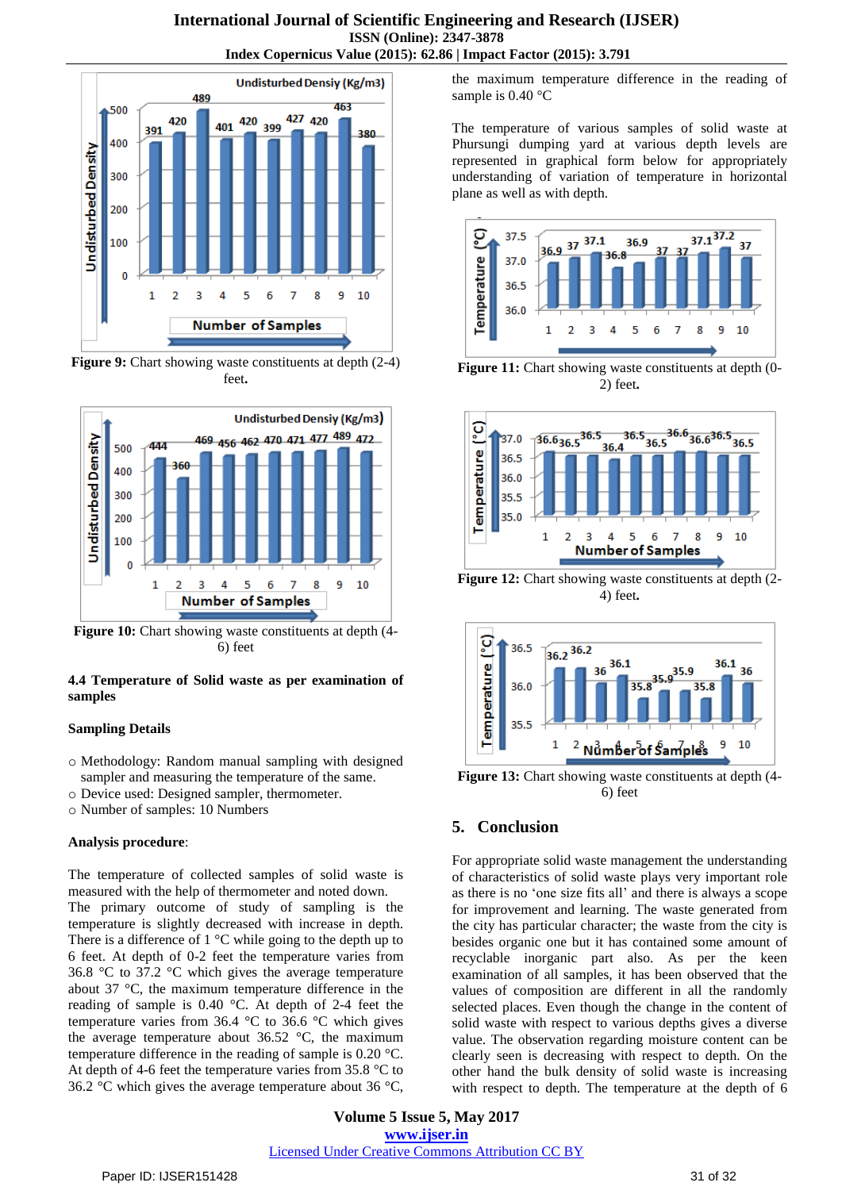

**Figure 9:** Chart showing waste constituents at depth (2-4) feet**.**



**Figure 10:** Chart showing waste constituents at depth (4- 6) feet

#### **4.4 Temperature of Solid waste as per examination of samples**

#### **Sampling Details**

- o Methodology: Random manual sampling with designed sampler and measuring the temperature of the same.
- o Device used: Designed sampler, thermometer.
- o Number of samples: 10 Numbers

#### **Analysis procedure**:

The temperature of collected samples of solid waste is measured with the help of thermometer and noted down. The primary outcome of study of sampling is the temperature is slightly decreased with increase in depth. There is a difference of  $1 \,^{\circ}\mathrm{C}$  while going to the depth up to 6 feet. At depth of 0-2 feet the temperature varies from 36.8 °C to 37.2 °C which gives the average temperature about 37 °C, the maximum temperature difference in the reading of sample is 0.40 °C. At depth of 2-4 feet the temperature varies from 36.4 °C to 36.6 °C which gives the average temperature about 36.52 °C, the maximum temperature difference in the reading of sample is 0.20 °C. At depth of 4-6 feet the temperature varies from 35.8 °C to 36.2 °C which gives the average temperature about 36 °C,

the maximum temperature difference in the reading of sample is 0.40 °C

The temperature of various samples of solid waste at Phursungi dumping yard at various depth levels are represented in graphical form below for appropriately understanding of variation of temperature in horizontal plane as well as with depth.



**Figure 11:** Chart showing waste constituents at depth  $(0-$ 2) feet**.**



**Figure 12:** Chart showing waste constituents at depth (2- 4) feet**.**



**Figure 13:** Chart showing waste constituents at depth (4- 6) feet

# **5. Conclusion**

For appropriate solid waste management the understanding of characteristics of solid waste plays very important role as there is no "one size fits all" and there is always a scope for improvement and learning. The waste generated from the city has particular character; the waste from the city is besides organic one but it has contained some amount of recyclable inorganic part also. As per the keen examination of all samples, it has been observed that the values of composition are different in all the randomly selected places. Even though the change in the content of solid waste with respect to various depths gives a diverse value. The observation regarding moisture content can be clearly seen is decreasing with respect to depth. On the other hand the bulk density of solid waste is increasing with respect to depth. The temperature at the depth of 6

**Volume 5 Issue 5, May 2017 www.ijser.in** Licensed Under Creative Commons Attribution CC BY